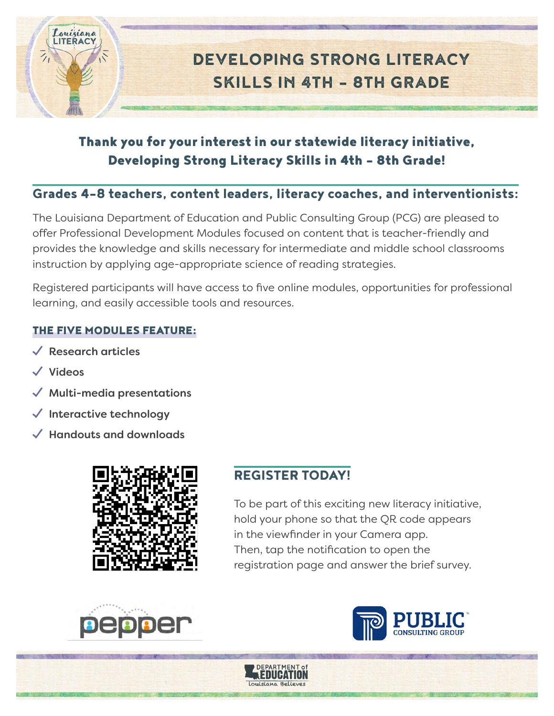

# Thank you for your interest in our statewide literacy initiative, Developing Strong Literacy Skills in 4th – 8th Grade!

# Grades 4–8 teachers, content leaders, literacy coaches, and interventionists:

The Louisiana Department of Education and Public Consulting Group (PCG) are pleased to offer Professional Development Modules focused on content that is teacher-friendly and provides the knowledge and skills necessary for intermediate and middle school classrooms instruction by applying age-appropriate science of reading strategies.

Registered participants will have access to five online modules, opportunities for professional learning, and easily accessible tools and resources.

# THE FIVE MODULES FEATURE:

- $\checkmark$  Research articles
- $\checkmark$  Videos
- **Multi-media presentations**
- Interactive technology
- ¿ Handouts and downloads



# REGISTER TODAY!

Education louisiana Relieves

To be part of this exciting new literacy initiative, hold your phone so that the QR code appears in the viewfinder in your Camera app. Then, tap the notification to open the registration page and answer the brief survey.